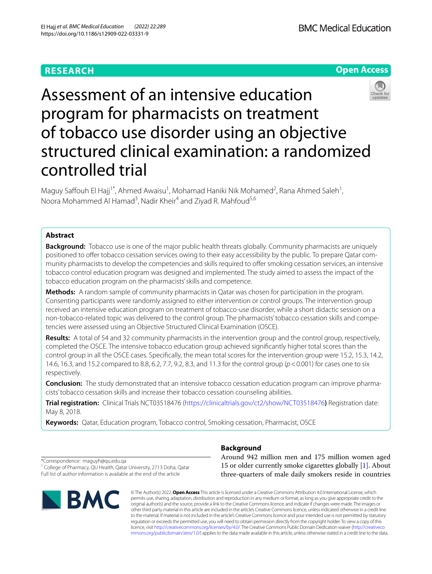# **RESEARCH**

**BMC Medical Education** 





# Assessment of an intensive education program for pharmacists on treatment of tobacco use disorder using an objective structured clinical examination: a randomized controlled trial

Maguy Saffouh El Hajj<sup>1\*</sup>, Ahmed Awaisu<sup>1</sup>, Mohamad Haniki Nik Mohamed<sup>2</sup>, Rana Ahmed Saleh<sup>1</sup>, Noora Mohammed Al Hamad<sup>3</sup>, Nadir Kheir<sup>4</sup> and Ziyad R. Mahfoud<sup>5,6</sup>

# **Abstract**

**Background:** Tobacco use is one of the major public health threats globally. Community pharmacists are uniquely positioned to ofer tobacco cessation services owing to their easy accessibility by the public. To prepare Qatar community pharmacists to develop the competencies and skills required to offer smoking cessation services, an intensive tobacco control education program was designed and implemented. The study aimed to assess the impact of the tobacco education program on the pharmacists' skills and competence.

**Methods:** A random sample of community pharmacists in Qatar was chosen for participation in the program. Consenting participants were randomly assigned to either intervention or control groups. The intervention group received an intensive education program on treatment of tobacco-use disorder, while a short didactic session on a non-tobacco-related topic was delivered to the control group. The pharmacists' tobacco cessation skills and competencies were assessed using an Objective Structured Clinical Examination (OSCE).

**Results:** A total of 54 and 32 community pharmacists in the intervention group and the control group, respectively, completed the OSCE. The intensive tobacco education group achieved signifcantly higher total scores than the control group in all the OSCE cases. Specifcally, the mean total scores for the intervention group were 15.2, 15.3, 14.2, 14.6, 16.3, and 15.2 compared to 8.8, 6.2, 7.7, 9.2, 8.3, and 11.3 for the control group (*p*<0.001) for cases one to six respectively.

**Conclusion:** The study demonstrated that an intensive tobacco cessation education program can improve pharmacists' tobacco cessation skills and increase their tobacco cessation counseling abilities.

**Trial registration:** Clinical Trials NCT03518476 (<https://clinicaltrials.gov/ct2/show/NCT03518476>**)** Registration date: May 8, 2018.

**Keywords:** Qatar, Education program, Tobacco control, Smoking cessation, Pharmacist, OSCE

# **Background**

\*Correspondence: maguyh@qu.edu.qa <sup>1</sup> College of Pharmacy, QU Health, Qatar University, 2713 Doha, Qatar Full list of author information is available at the end of the article



Around 942 million men and 175 million women aged 15 or older currently smoke cigarettes globally [[1\]](#page-10-0). About three-quarters of male daily smokers reside in countries

© The Author(s) 2022. **Open Access** This article is licensed under a Creative Commons Attribution 4.0 International License, which permits use, sharing, adaptation, distribution and reproduction in any medium or format, as long as you give appropriate credit to the original author(s) and the source, provide a link to the Creative Commons licence, and indicate if changes were made. The images or other third party material in this article are included in the article's Creative Commons licence, unless indicated otherwise in a credit line to the material. If material is not included in the article's Creative Commons licence and your intended use is not permitted by statutory regulation or exceeds the permitted use, you will need to obtain permission directly from the copyright holder. To view a copy of this licence, visit [http://creativecommons.org/licenses/by/4.0/.](http://creativecommons.org/licenses/by/4.0/) The Creative Commons Public Domain Dedication waiver ([http://creativeco](http://creativecommons.org/publicdomain/zero/1.0/) [mmons.org/publicdomain/zero/1.0/](http://creativecommons.org/publicdomain/zero/1.0/)) applies to the data made available in this article, unless otherwise stated in a credit line to the data.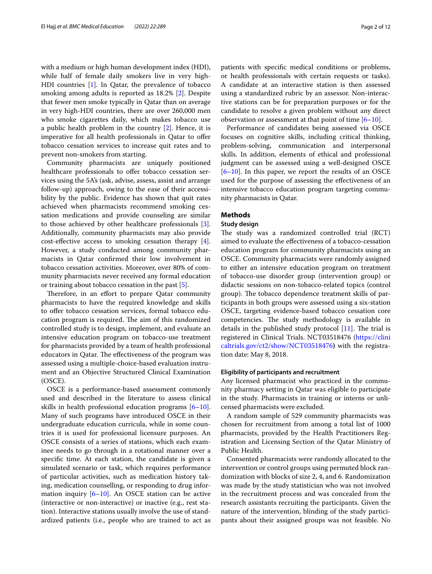with a medium or high human development index (HDI), while half of female daily smokers live in very high-HDI countries [\[1](#page-10-0)]. In Qatar, the prevalence of tobacco smoking among adults is reported as 18.2% [[2\]](#page-10-1). Despite that fewer men smoke typically in Qatar than on average in very high-HDI countries, there are over 260,000 men who smoke cigarettes daily, which makes tobacco use a public health problem in the country [\[2](#page-10-1)]. Hence, it is imperative for all health professionals in Qatar to offer tobacco cessation services to increase quit rates and to prevent non-smokers from starting.

Community pharmacists are uniquely positioned healthcare professionals to offer tobacco cessation services using the 5A's (ask, advise, assess, assist and arrange follow-up) approach, owing to the ease of their accessibility by the public. Evidence has shown that quit rates achieved when pharmacists recommend smoking cessation medications and provide counseling are similar to those achieved by other healthcare professionals [\[3](#page-10-2)]. Additionally, community pharmacists may also provide cost-efective access to smoking cessation therapy [\[4](#page-10-3)]. However, a study conducted among community pharmacists in Qatar confrmed their low involvement in tobacco cessation activities. Moreover, over 80% of community pharmacists never received any formal education or training about tobacco cessation in the past [\[5](#page-10-4)].

Therefore, in an effort to prepare Qatar community pharmacists to have the required knowledge and skills to offer tobacco cessation services, formal tobacco education program is required. The aim of this randomized controlled study is to design, implement, and evaluate an intensive education program on tobacco-use treatment for pharmacists provided by a team of health professional educators in Qatar. The effectiveness of the program was assessed using a multiple-choice-based evaluation instrument and an Objective Structured Clinical Examination (OSCE).

OSCE is a performance-based assessment commonly used and described in the literature to assess clinical skills in health professional education programs  $[6-10]$  $[6-10]$ . Many of such programs have introduced OSCE in their undergraduate education curricula, while in some countries it is used for professional licensure purposes. An OSCE consists of a series of stations, which each examinee needs to go through in a rotational manner over a specifc time. At each station, the candidate is given a simulated scenario or task, which requires performance of particular activities, such as medication history taking, medication counselling, or responding to drug information inquiry [[6–](#page-10-5)[10](#page-10-6)]. An OSCE station can be active (interactive or non-interactive) or inactive (e.g., rest station). Interactive stations usually involve the use of standardized patients (i.e., people who are trained to act as patients with specifc medical conditions or problems, or health professionals with certain requests or tasks). A candidate at an interactive station is then assessed using a standardized rubric by an assessor. Non-interactive stations can be for preparation purposes or for the candidate to resolve a given problem without any direct observation or assessment at that point of time  $[6–10]$  $[6–10]$  $[6–10]$ .

Performance of candidates being assessed via OSCE focuses on cognitive skills, including critical thinking, problem-solving, communication and interpersonal skills. In addition, elements of ethical and professional judgment can be assessed using a well-designed OSCE [[6–](#page-10-5)[10\]](#page-10-6). In this paper, we report the results of an OSCE used for the purpose of assessing the efectiveness of an intensive tobacco education program targeting community pharmacists in Qatar.

## **Methods**

# **Study design**

The study was a randomized controlled trial (RCT) aimed to evaluate the efectiveness of a tobacco-cessation education program for community pharmacists using an OSCE. Community pharmacists were randomly assigned to either an intensive education program on treatment of tobacco-use disorder group (intervention group) or didactic sessions on non-tobacco-related topics (control group). The tobacco dependence treatment skills of participants in both groups were assessed using a six-station OSCE, targeting evidence-based tobacco cessation core competencies. The study methodology is available in details in the published study protocol  $[11]$  $[11]$ . The trial is registered in Clinical Trials. NCT03518476 ([https://clini](https://clinicaltrials.gov/ct2/show/NCT03518476) [caltrials.gov/ct2/show/NCT03518476](https://clinicaltrials.gov/ct2/show/NCT03518476)**)** with the registration date: May 8, 2018.

# **Eligibility of participants and recruitment**

Any licensed pharmacist who practiced in the community pharmacy setting in Qatar was eligible to participate in the study. Pharmacists in training or interns or unlicensed pharmacists were excluded.

A random sample of 529 community pharmacists was chosen for recruitment from among a total list of 1000 pharmacists, provided by the Health Practitioners Registration and Licensing Section of the Qatar Ministry of Public Health.

Consented pharmacists were randomly allocated to the intervention or control groups using permuted block randomization with blocks of size 2, 4, and 6. Randomization was made by the study statistician who was not involved in the recruitment process and was concealed from the research assistants recruiting the participants. Given the nature of the intervention, blinding of the study participants about their assigned groups was not feasible. No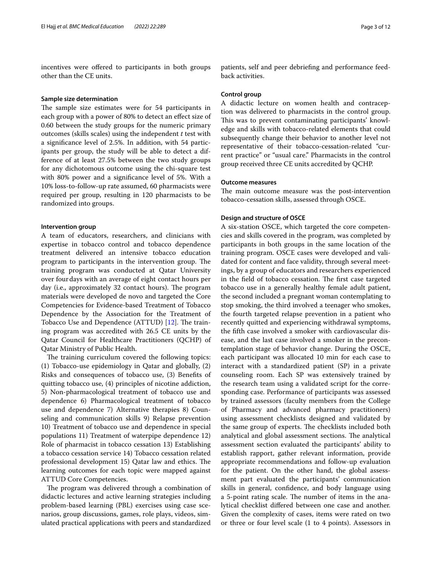incentives were ofered to participants in both groups other than the CE units.

## **Sample size determination**

The sample size estimates were for 54 participants in each group with a power of 80% to detect an efect size of 0.60 between the study groups for the numeric primary outcomes (skills scales) using the independent *t* test with a signifcance level of 2.5%. In addition, with 54 participants per group, the study will be able to detect a difference of at least 27.5% between the two study groups for any dichotomous outcome using the chi-square test with 80% power and a signifcance level of 5%. With a 10% loss-to-follow-up rate assumed, 60 pharmacists were required per group, resulting in 120 pharmacists to be randomized into groups.

#### **Intervention group**

A team of educators, researchers, and clinicians with expertise in tobacco control and tobacco dependence treatment delivered an intensive tobacco education program to participants in the intervention group. The training program was conducted at Qatar University over fourdays with an average of eight contact hours per day (i.e., approximately 32 contact hours). The program materials were developed de novo and targeted the Core Competencies for Evidence-based Treatment of Tobacco Dependence by the Association for the Treatment of Tobacco Use and Dependence (ATTUD) [[12\]](#page-10-8). The training program was accredited with 26.5 CE units by the Qatar Council for Healthcare Practitioners (QCHP) of Qatar Ministry of Public Health.

The training curriculum covered the following topics: (1) Tobacco-use epidemiology in Qatar and globally, (2) Risks and consequences of tobacco use, (3) Benefts of quitting tobacco use, (4) principles of nicotine addiction, 5) Non-pharmacological treatment of tobacco use and dependence 6) Pharmacological treatment of tobacco use and dependence 7) Alternative therapies 8) Counseling and communication skills 9) Relapse prevention 10) Treatment of tobacco use and dependence in special populations 11) Treatment of waterpipe dependence 12) Role of pharmacist in tobacco cessation 13) Establishing a tobacco cessation service 14) Tobacco cessation related professional development 15) Qatar law and ethics. The learning outcomes for each topic were mapped against ATTUD Core Competencies.

The program was delivered through a combination of didactic lectures and active learning strategies including problem-based learning (PBL) exercises using case scenarios, group discussions, games, role plays, videos, simulated practical applications with peers and standardized

patients, self and peer debriefng and performance feedback activities.

# **Control group**

A didactic lecture on women health and contraception was delivered to pharmacists in the control group. This was to prevent contaminating participants' knowledge and skills with tobacco-related elements that could subsequently change their behavior to another level not representative of their tobacco-cessation-related "current practice" or "usual care." Pharmacists in the control group received three CE units accredited by QCHP.

# **Outcome measures**

The main outcome measure was the post-intervention tobacco-cessation skills, assessed through OSCE.

# **Design and structure of OSCE**

A six-station OSCE, which targeted the core competencies and skills covered in the program, was completed by participants in both groups in the same location of the training program. OSCE cases were developed and validated for content and face validity, through several meetings, by a group of educators and researchers experienced in the field of tobacco cessation. The first case targeted tobacco use in a generally healthy female adult patient, the second included a pregnant woman contemplating to stop smoking, the third involved a teenager who smokes, the fourth targeted relapse prevention in a patient who recently quitted and experiencing withdrawal symptoms, the ffth case involved a smoker with cardiovascular disease, and the last case involved a smoker in the precontemplation stage of behavior change. During the OSCE, each participant was allocated 10 min for each case to interact with a standardized patient (SP) in a private counseling room. Each SP was extensively trained by the research team using a validated script for the corresponding case. Performance of participants was assessed by trained assessors (faculty members from the College of Pharmacy and advanced pharmacy practitioners) using assessment checklists designed and validated by the same group of experts. The checklists included both analytical and global assessment sections. The analytical assessment section evaluated the participants' ability to establish rapport, gather relevant information, provide appropriate recommendations and follow-up evaluation for the patient. On the other hand, the global assessment part evaluated the participants' communication skills in general, confdence, and body language using a 5-point rating scale. The number of items in the analytical checklist difered between one case and another. Given the complexity of cases, items were rated on two or three or four level scale (1 to 4 points). Assessors in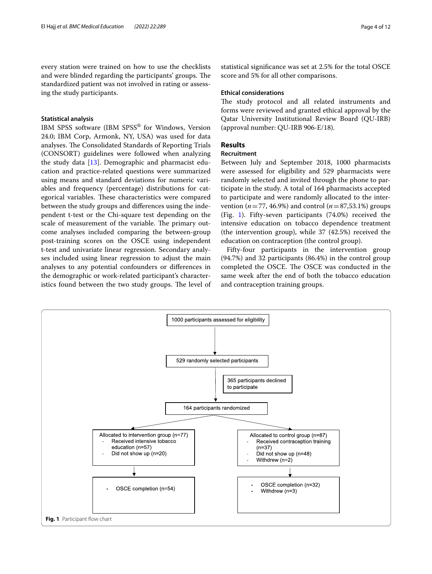every station were trained on how to use the checklists and were blinded regarding the participants' groups. The standardized patient was not involved in rating or assessing the study participants.

# **Statistical analysis**

IBM SPSS software (IBM SPSS® for Windows, Version 24.0; IBM Corp, Armonk, NY, USA) was used for data analyses. The Consolidated Standards of Reporting Trials (CONSORT) guidelines were followed when analyzing the study data [\[13\]](#page-10-9). Demographic and pharmacist education and practice-related questions were summarized using means and standard deviations for numeric variables and frequency (percentage) distributions for categorical variables. These characteristics were compared between the study groups and diferences using the independent t-test or the Chi-square test depending on the scale of measurement of the variable. The primary outcome analyses included comparing the between-group post-training scores on the OSCE using independent t-test and univariate linear regression. Secondary analyses included using linear regression to adjust the main analyses to any potential confounders or diferences in the demographic or work-related participant's characteristics found between the two study groups. The level of

statistical signifcance was set at 2.5% for the total OSCE score and 5% for all other comparisons.

## **Ethical considerations**

The study protocol and all related instruments and forms were reviewed and granted ethical approval by the Qatar University Institutional Review Board (QU-IRB) (approval number: QU-IRB 906-E/18).

# **Results**

# **Recruitment**

Between July and September 2018, 1000 pharmacists were assessed for eligibility and 529 pharmacists were randomly selected and invited through the phone to participate in the study. A total of 164 pharmacists accepted to participate and were randomly allocated to the intervention ( $n = 77, 46.9\%$ ) and control ( $n = 87,53.1\%$ ) groups (Fig. [1](#page-3-0)). Fifty-seven participants (74.0%) received the intensive education on tobacco dependence treatment (the intervention group), while 37 (42.5%) received the education on contraception (the control group).

Fifty-four participants in the intervention group (94.7%) and 32 participants (86.4%) in the control group completed the OSCE. The OSCE was conducted in the same week after the end of both the tobacco education and contraception training groups.

<span id="page-3-0"></span>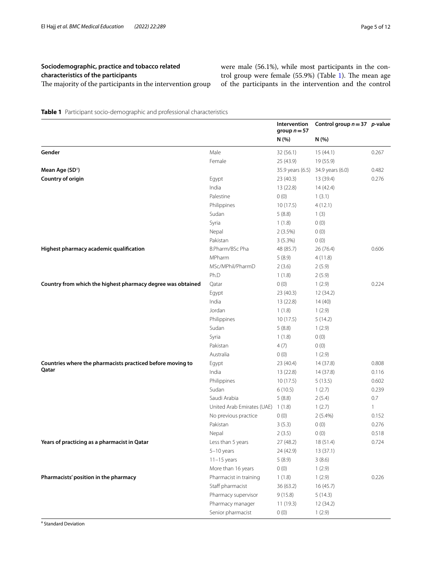were male (56.1%), while most participants in the control group were female  $(55.9%)$  (Table [1](#page-4-0)). The mean age of the participants in the intervention and the control

<span id="page-4-0"></span>**Table 1** Participant socio-demographic and professional characteristics

|                                                             |                            | Intervention<br>group $n = 57$ | Control group $n = 37$ p-value |              |
|-------------------------------------------------------------|----------------------------|--------------------------------|--------------------------------|--------------|
|                                                             |                            | N (%)                          | N (%)                          |              |
| Gender                                                      | Male                       | 32(56.1)                       | 15(44.1)                       | 0.267        |
|                                                             | Female                     | 25 (43.9)                      | 19 (55.9)                      |              |
| Mean Age (SD <sup>a</sup> )                                 |                            | 35.9 years (6.5)               | 34.9 years (6.0)               | 0.482        |
| Country of origin                                           | Egypt                      | 23 (40.3)                      | 13 (39.4)                      | 0.276        |
|                                                             | India                      | 13(22.8)                       | 14 (42.4)                      |              |
|                                                             | Palestine                  | 0(0)                           | 1(3.1)                         |              |
|                                                             | Philippines                | 10(17.5)                       | 4(12.1)                        |              |
|                                                             | Sudan                      | 5(8.8)                         | 1(3)                           |              |
|                                                             | Syria                      | 1(1.8)                         | 0(0)                           |              |
|                                                             | Nepal                      | 2(3.5%)                        | 0(0)                           |              |
|                                                             | Pakistan                   | 3(5.3%)                        | 0(0)                           |              |
| Highest pharmacy academic qualification                     | B.Pharm/BSc Pha            | 48 (85.7)                      | 26 (76.4)                      | 0.606        |
|                                                             | MPharm                     | 5(8.9)                         | 4(11.8)                        |              |
|                                                             | MSc/MPhil/PharmD           | 2(3.6)                         | 2(5.9)                         |              |
|                                                             | Ph.D                       | 1(1.8)                         | 2(5.9)                         |              |
| Country from which the highest pharmacy degree was obtained | Qatar                      | 0(0)                           | 1(2.9)                         | 0.224        |
|                                                             | Egypt                      | 23 (40.3)                      | 12 (34.2)                      |              |
|                                                             | India                      | 13 (22.8)                      | 14(40)                         |              |
|                                                             | Jordan                     | 1(1.8)                         | 1(2.9)                         |              |
|                                                             | Philippines                | 10(17.5)                       | 5(14.2)                        |              |
|                                                             | Sudan                      | 5(8.8)                         | 1(2.9)                         |              |
|                                                             | Syria                      | 1(1.8)                         | 0(0)                           |              |
|                                                             | Pakistan                   | 4(7)                           | 0(0)                           |              |
|                                                             | Australia                  | 0(0)                           | 1(2.9)                         |              |
| Countries where the pharmacists practiced before moving to  | Egypt                      | 23 (40.4)                      | 14 (37.8)                      | 0.808        |
| Qatar                                                       | India                      | 13 (22.8)                      | 14 (37.8)                      | 0.116        |
|                                                             | Philippines                | 10(17.5)                       | 5(13.5)                        | 0.602        |
|                                                             | Sudan                      | 6(10.5)                        | 1(2.7)                         | 0.239        |
|                                                             | Saudi Arabia               | 5(8.8)                         | 2(5.4)                         | 0.7          |
|                                                             | United Arab Emirates (UAE) | 1(1.8)                         | 1(2.7)                         | $\mathbf{1}$ |
|                                                             | No previous practice       | 0(0)                           | $2(5.4\%)$                     | 0.152        |
|                                                             | Pakistan                   | 3(5.3)                         | 0(0)                           | 0.276        |
|                                                             | Nepal                      | 2(3.5)                         | 0(0)                           | 0.518        |
| Years of practicing as a pharmacist in Qatar                | Less than 5 years          | 27 (48.2)                      | 18 (51.4)                      | 0.724        |
|                                                             | $5-10$ years               | 24 (42.9)                      | 13 (37.1)                      |              |
|                                                             | $11-15$ years              | 5(8.9)                         | 3(8.6)                         |              |
|                                                             | More than 16 years         | 0(0)                           | 1(2.9)                         |              |
| Pharmacists' position in the pharmacy                       | Pharmacist in training     | 1(1.8)                         | 1(2.9)                         | 0.226        |
|                                                             | Staff pharmacist           | 36 (63.2)                      | 16(45.7)                       |              |
|                                                             | Pharmacy supervisor        | 9(15.8)                        | 5(14.3)                        |              |
|                                                             | Pharmacy manager           | 11(19.3)                       | 12 (34.2)                      |              |
|                                                             | Senior pharmacist          | 0(0)                           | 1(2.9)                         |              |

<sup>a</sup> Standard Deviation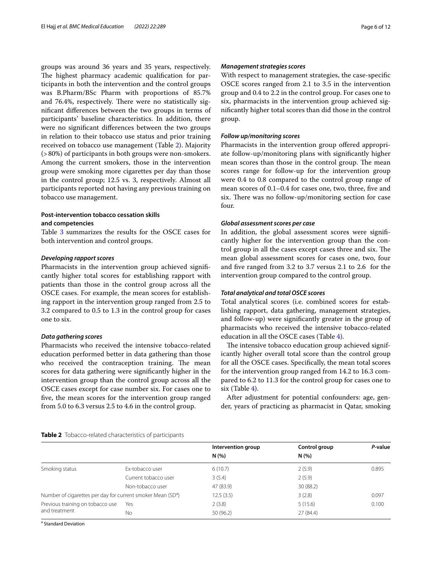groups was around 36 years and 35 years, respectively. The highest pharmacy academic qualification for participants in both the intervention and the control groups was B.Pharm/BSc Pharm with proportions of 85.7% and 76.4%, respectively. There were no statistically signifcant diferences between the two groups in terms of participants' baseline characteristics. In addition, there were no signifcant diferences between the two groups in relation to their tobacco use status and prior training received on tobacco use management (Table [2\)](#page-5-0). Majority (>80%) of participants in both groups were non-smokers. Among the current smokers, those in the intervention group were smoking more cigarettes per day than those in the control group; 12.5 vs. 3, respectively. Almost all participants reported not having any previous training on tobacco use management.

# **Post-intervention tobacco cessation skills and competencies**

Table [3](#page-6-0) summarizes the results for the OSCE cases for both intervention and control groups.

# *Developing rapport scores*

Pharmacists in the intervention group achieved signifcantly higher total scores for establishing rapport with patients than those in the control group across all the OSCE cases. For example, the mean scores for establishing rapport in the intervention group ranged from 2.5 to 3.2 compared to 0.5 to 1.3 in the control group for cases one to six.

# *Data gathering scores*

Pharmacists who received the intensive tobacco-related education performed better in data gathering than those who received the contraception training. The mean scores for data gathering were signifcantly higher in the intervention group than the control group across all the OSCE cases except for case number six. For cases one to fve, the mean scores for the intervention group ranged from 5.0 to 6.3 versus 2.5 to 4.6 in the control group.

# *Management strategies scores*

With respect to management strategies, the case-specifc OSCE scores ranged from 2.1 to 3.5 in the intervention group and 0.4 to 2.2 in the control group. For cases one to six, pharmacists in the intervention group achieved signifcantly higher total scores than did those in the control group.

# *Follow up/monitoring scores*

Pharmacists in the intervention group offered appropriate follow-up/monitoring plans with signifcantly higher mean scores than those in the control group. The mean scores range for follow-up for the intervention group were 0.4 to 0.8 compared to the control group range of mean scores of 0.1–0.4 for cases one, two, three, fve and six. There was no follow-up/monitoring section for case four.

# *Global assessment scores per case*

In addition, the global assessment scores were signifcantly higher for the intervention group than the control group in all the cases except cases three and six. The mean global assessment scores for cases one, two, four and fve ranged from 3.2 to 3.7 versus 2.1 to 2.6 for the intervention group compared to the control group.

# *Total analytical and total OSCE scores*

Total analytical scores (i.e. combined scores for establishing rapport, data gathering, management strategies, and follow-up) were signifcantly greater in the group of pharmacists who received the intensive tobacco-related education in all the OSCE cases (Table [4](#page-8-0)).

The intensive tobacco education group achieved significantly higher overall total score than the control group for all the OSCE cases. Specifcally, the mean total scores for the intervention group ranged from 14.2 to 16.3 compared to 6.2 to 11.3 for the control group for cases one to six (Table  $4$ ).

After adjustment for potential confounders: age, gender, years of practicing as pharmacist in Qatar, smoking

## <span id="page-5-0"></span>**Table 2** Tobacco-related characteristics of participants

|                                                                         |                      | Intervention group | Control group | P-value |
|-------------------------------------------------------------------------|----------------------|--------------------|---------------|---------|
|                                                                         |                      | N(% )              | N(%)          |         |
| Smoking status                                                          | Ex-tobacco user      | 6(10.7)            | 2(5.9)        | 0.895   |
|                                                                         | Current tobacco user | 3(5.4)             | 2(5.9)        |         |
|                                                                         | Non-tobacco user     | 47 (83.9)          | 30 (88.2)     |         |
| Number of cigarettes per day for current smoker Mean (SD <sup>a</sup> ) |                      | 12.5(3.5)          | 3(2.8)        | 0.097   |
| Previous training on tobacco use                                        | Yes                  | 2(3.8)             | 5(15.6)       | 0.100   |
| and treatment                                                           | No                   | 50 (96.2)          | 27 (84.4)     |         |

<sup>a</sup> Standard Deviation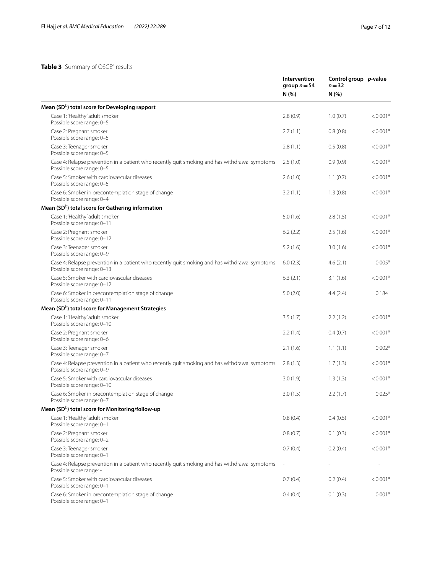# <span id="page-6-0"></span>Table 3 Summary of OSCE<sup>a</sup> results

|                                                                                                                             | Intervention<br>group $n = 54$<br>N(% | Control group p-value<br>$n = 32$<br>N(% ) |            |
|-----------------------------------------------------------------------------------------------------------------------------|---------------------------------------|--------------------------------------------|------------|
| Mean (SD <sup>b</sup> ) total score for Developing rapport                                                                  |                                       |                                            |            |
| Case 1: 'Healthy' adult smoker<br>Possible score range: 0-5                                                                 | 2.8(0.9)                              | 1.0(0.7)                                   | $< 0.001*$ |
| Case 2: Pregnant smoker<br>Possible score range: 0-5                                                                        | 2.7(1.1)                              | 0.8(0.8)                                   | $< 0.001*$ |
| Case 3: Teenager smoker<br>Possible score range: 0-5                                                                        | 2.8(1.1)                              | 0.5(0.8)                                   | $< 0.001*$ |
| Case 4: Relapse prevention in a patient who recently quit smoking and has withdrawal symptoms<br>Possible score range: 0-5  | 2.5(1.0)                              | 0.9(0.9)                                   | $< 0.001*$ |
| Case 5: Smoker with cardiovascular diseases<br>Possible score range: 0-5                                                    | 2.6(1.0)                              | 1.1(0.7)                                   | $< 0.001*$ |
| Case 6: Smoker in precontemplation stage of change<br>Possible score range: 0-4                                             | 3.2(1.1)                              | 1.3(0.8)                                   | $< 0.001*$ |
| Mean (SD <sup>b</sup> ) total score for Gathering information                                                               |                                       |                                            |            |
| Case 1: 'Healthy' adult smoker<br>Possible score range: 0-11                                                                | 5.0(1.6)                              | 2.8(1.5)                                   | $< 0.001*$ |
| Case 2: Pregnant smoker<br>Possible score range: 0-12                                                                       | 6.2(2.2)                              | 2.5(1.6)                                   | $< 0.001*$ |
| Case 3: Teenager smoker<br>Possible score range: 0-9                                                                        | 5.2(1.6)                              | 3.0(1.6)                                   | $< 0.001*$ |
| Case 4: Relapse prevention in a patient who recently quit smoking and has withdrawal symptoms<br>Possible score range: 0-13 | 6.0(2.3)                              | 4.6(2.1)                                   | $0.005*$   |
| Case 5: Smoker with cardiovascular diseases<br>Possible score range: 0-12                                                   | 6.3(2.1)                              | 3.1(1.6)                                   | $< 0.001*$ |
| Case 6: Smoker in precontemplation stage of change<br>Possible score range: 0-11                                            | 5.0(2.0)                              | 4.4(2.4)                                   | 0.184      |
| Mean (SD <sup>b</sup> ) total score for Management Strategies                                                               |                                       |                                            |            |
| Case 1: 'Healthy' adult smoker<br>Possible score range: 0-10                                                                | 3.5(1.7)                              | 2.2(1.2)                                   | $< 0.001*$ |
| Case 2: Pregnant smoker<br>Possible score range: 0-6                                                                        | 2.2(1.4)                              | 0.4(0.7)                                   | $< 0.001*$ |
| Case 3: Teenager smoker<br>Possible score range: 0-7                                                                        | 2.1(1.6)                              | 1.1(1.1)                                   | $0.002*$   |
| Case 4: Relapse prevention in a patient who recently quit smoking and has withdrawal symptoms<br>Possible score range: 0-9  | 2.8(1.3)                              | 1.7(1.3)                                   | $< 0.001*$ |
| Case 5: Smoker with cardiovascular diseases<br>Possible score range: 0-10                                                   | 3.0(1.9)                              | 1.3(1.3)                                   | $< 0.001*$ |
| Case 6: Smoker in precontemplation stage of change<br>Possible score range: 0-7                                             | 3.0(1.5)                              | 2.2(1.7)                                   | $0.025*$   |
| Mean (SD <sup>b</sup> ) total score for Monitoring/follow-up                                                                |                                       |                                            |            |
| Case 1: 'Healthy' adult smoker<br>Possible score range: 0-1                                                                 | 0.8(0.4)                              | 0.4(0.5)                                   | $< 0.001*$ |
| Case 2: Pregnant smoker<br>Possible score range: 0-2                                                                        | 0.8(0.7)                              | 0.1(0.3)                                   | $< 0.001*$ |
| Case 3: Teenager smoker<br>Possible score range: 0-1                                                                        | 0.7(0.4)                              | 0.2(0.4)                                   | $< 0.001*$ |
| Case 4: Relapse prevention in a patient who recently quit smoking and has withdrawal symptoms<br>Possible score range: -    |                                       |                                            |            |
| Case 5: Smoker with cardiovascular diseases<br>Possible score range: 0-1                                                    | 0.7(0.4)                              | 0.2(0.4)                                   | $< 0.001*$ |
| Case 6: Smoker in precontemplation stage of change<br>Possible score range: 0-1                                             | 0.4(0.4)                              | 0.1(0.3)                                   | $0.001*$   |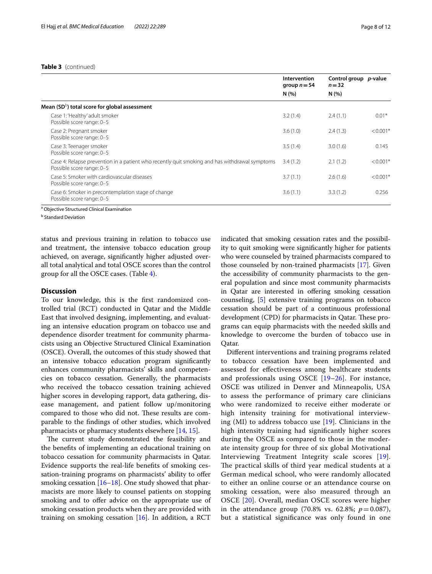# **Table 3** (continued)

|                                                                                                                            | <b>Intervention</b><br>group $n = 54$ | Control group p-value<br>$n = 32$ |            |
|----------------------------------------------------------------------------------------------------------------------------|---------------------------------------|-----------------------------------|------------|
|                                                                                                                            | N(%                                   | N(% )                             |            |
| Mean $(SD^{\circ})$ total score for global assessment                                                                      |                                       |                                   |            |
| Case 1: 'Healthy' adult smoker<br>Possible score range: 0-5                                                                | 3.2(1.4)                              | 2.4(1.1)                          | $0.01*$    |
| Case 2: Pregnant smoker<br>Possible score range: 0-5                                                                       | 3.6(1.0)                              | 2.4(1.3)                          | $< 0.001*$ |
| Case 3: Teenager smoker<br>Possible score range: 0-5                                                                       | 3.5(1.4)                              | 3.0(1.6)                          | 0.145      |
| Case 4: Relapse prevention in a patient who recently quit smoking and has withdrawal symptoms<br>Possible score range: 0-5 | 3.4(1.2)                              | 2.1(1.2)                          | $< 0.001*$ |
| Case 5: Smoker with cardiovascular diseases<br>Possible score range: 0-5                                                   | 3.7(1.1)                              | 2.6(1.6)                          | $< 0.001*$ |
| Case 6: Smoker in precontemplation stage of change<br>Possible score range: 0-5                                            | 3.6(1.1)                              | 3.3(1.2)                          | 0.256      |

<sup>a</sup> Objective Structured Clinical Examination

<sup>b</sup> Standard Deviation

status and previous training in relation to tobacco use and treatment, the intensive tobacco education group achieved, on average, signifcantly higher adjusted overall total analytical and total OSCE scores than the control group for all the OSCE cases. (Table [4](#page-8-0)).

# **Discussion**

To our knowledge, this is the frst randomized controlled trial (RCT) conducted in Qatar and the Middle East that involved designing, implementing, and evaluating an intensive education program on tobacco use and dependence disorder treatment for community pharmacists using an Objective Structured Clinical Examination (OSCE). Overall, the outcomes of this study showed that an intensive tobacco education program signifcantly enhances community pharmacists' skills and competencies on tobacco cessation. Generally, the pharmacists who received the tobacco cessation training achieved higher scores in developing rapport, data gathering, disease management, and patient follow up/monitoring compared to those who did not. These results are comparable to the fndings of other studies, which involved pharmacists or pharmacy students elsewhere [[14,](#page-10-10) [15](#page-10-11)].

The current study demonstrated the feasibility and the benefts of implementing an educational training on tobacco cessation for community pharmacists in Qatar. Evidence supports the real-life benefts of smoking cessation-training programs on pharmacists' ability to ofer smoking cessation  $[16–18]$  $[16–18]$ . One study showed that pharmacists are more likely to counsel patients on stopping smoking and to offer advice on the appropriate use of smoking cessation products when they are provided with training on smoking cessation  $[16]$  $[16]$  $[16]$ . In addition, a RCT indicated that smoking cessation rates and the possibility to quit smoking were signifcantly higher for patients who were counseled by trained pharmacists compared to those counseled by non-trained pharmacists [[17\]](#page-10-14). Given the accessibility of community pharmacists to the general population and since most community pharmacists in Qatar are interested in offering smoking cessation counseling, [\[5](#page-10-4)] extensive training programs on tobacco cessation should be part of a continuous professional development (CPD) for pharmacists in Qatar. These programs can equip pharmacists with the needed skills and knowledge to overcome the burden of tobacco use in Qatar.

Diferent interventions and training programs related to tobacco cessation have been implemented and assessed for efectiveness among healthcare students and professionals using OSCE  $[19-26]$  $[19-26]$  $[19-26]$ . For instance, OSCE was utilized in Denver and Minneapolis, USA to assess the performance of primary care clinicians who were randomized to receive either moderate or high intensity training for motivational interviewing  $(MI)$  to address tobacco use  $[19]$  $[19]$ . Clinicians in the high intensity training had signifcantly higher scores during the OSCE as compared to those in the moderate intensity group for three of six global Motivational Interviewing Treatment Integrity scale scores [[19](#page-10-15)]. The practical skills of third year medical students at a German medical school, who were randomly allocated to either an online course or an attendance course on smoking cessation, were also measured through an OSCE [\[20\]](#page-10-16). Overall, median OSCE scores were higher in the attendance group (70.8% vs. 62.8%;  $p = 0.087$ ), but a statistical signifcance was only found in one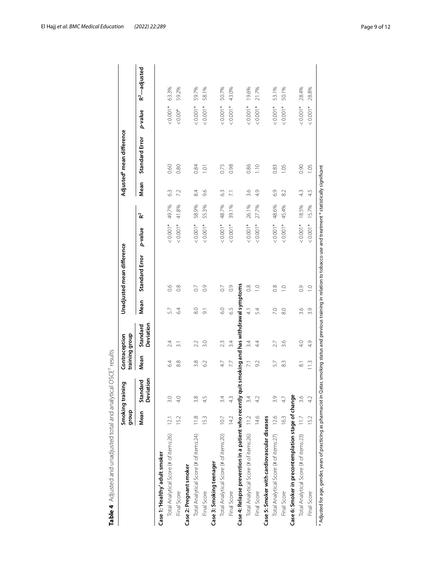<span id="page-8-0"></span>

| ١<br>l<br>١                               |
|-------------------------------------------|
| l<br>Ī<br>I<br>ţ<br>J<br>I<br>١<br>I<br>١ |
| Ï<br>j<br>١<br>ł                          |
| I<br>S<br>d<br>₹<br>S                     |
| $\mathfrak{c}$<br>I<br>í<br>Ì             |
| j<br>5<br>I<br>١                          |
| ī<br>Ī                                    |
| ļ<br>I                                    |
|                                           |
| d<br>ı<br>ļ                               |
| ı<br>l<br>Ï<br>١                          |

|                                                                                               | dho.fb | 5u<br>Smoking traini  | training group<br>Contraception |                       |                   | Unadjusted mean difference |          |                      |                | Adjusted <sup>a</sup> mean difference |          |                  |
|-----------------------------------------------------------------------------------------------|--------|-----------------------|---------------------------------|-----------------------|-------------------|----------------------------|----------|----------------------|----------------|---------------------------------------|----------|------------------|
|                                                                                               | Mean   | Deviation<br>Standard | Mean                            | Deviation<br>Standard | Mean              | Standard Error             | p-value  | $\tilde{\mathbf{r}}$ | Mean           | Standard Error                        | p-value  | $R^2$ — adjusted |
| Case 1: 'Healthy' adult smoker                                                                |        |                       |                                 |                       |                   |                            |          |                      |                |                                       |          |                  |
| Total Analytical Score (# of items:26)                                                        | 12.1   | 3.0                   | 64                              | 2.4                   | 5.7               | $\frac{6}{2}$              | $0.001*$ | 49.7%                | 63             | 0.60                                  | $0.001*$ | 63.3%            |
| Final Score                                                                                   | 15.2   | 4.0                   | 8.8                             | $\overline{31}$       | 6.4               | 0.8                        | $0.001*$ | 41.8%                | 7.2            | 0.80                                  | $0.00*$  | 59.2%            |
| Case 2: Pregnant smoker                                                                       |        |                       |                                 |                       |                   |                            |          |                      |                |                                       |          |                  |
| Total Analytical Score (# of items:24)                                                        | 11.8   | 3.8                   | 3.8                             | 2.2                   | $\frac{8}{8}$     | $\overline{0}$ .           | $0.001*$ | 58.9%                | 84             | 0.84                                  | $0.001*$ | 59.7%            |
| Final Score                                                                                   | 15.3   |                       | 62                              | 3.0                   | 5                 | 0.9                        | $0.001*$ | 55.3%                | 9.6            | $\overline{0}$                        | $0.001*$ | 58.1%            |
| Case 3: Smoking teenager                                                                      |        |                       |                                 |                       |                   |                            |          |                      |                |                                       |          |                  |
| Total Analytical Score (# of items:20)                                                        | 10.7   | 3.4                   | 4.7                             | 2.3                   | $\overline{6}$ .0 | $\overline{0}$             | $0.001*$ | 48.7%                | 63             | 0.75                                  | $0.001*$ | 50.7%            |
| Final Score                                                                                   | 14.2   |                       | 7.7                             | 3.4                   | 6.5               | 0.9                        | $0.001*$ | 39.1%                | $\overline{z}$ | 0.98                                  | $0.001*$ | 43.0%            |
| Case 4: Relapse prevention in a patient who recently quit smoking and has withdrawal symptoms |        |                       |                                 |                       |                   |                            |          |                      |                |                                       |          |                  |
| Total Analytical Score (# of items:26)                                                        | 11.2   | 3.4                   | Ξ                               | 3.4                   | ₹                 | $\frac{8}{2}$              | $0.001*$ | 26.1%                | 3.6            | 0.86                                  | $0.001*$ | 19.6%            |
| Final Score                                                                                   | 14.6   |                       | 9.2                             | 44                    | 54                | $\supseteq$                | $0.001*$ | 27.7%                | 4.9            | 1.10                                  | $0.001*$ | 21.7%            |
| Case 5: Smoker with cardiovascular diseases                                                   |        |                       |                                 |                       |                   |                            |          |                      |                |                                       |          |                  |
| Total Analytical Score (# of items:27) 12.6                                                   |        | 3.9                   | 5.7                             | 2.7                   | 7.0               | $\frac{8}{2}$              | $0.001*$ | 48.6%                | 6.9            | 0.83                                  | $0.001*$ | 53.1%            |
| Final Score                                                                                   | 16.3   | 47                    | 83                              | 3.6                   | 8.0               | $\frac{0}{1}$              | $0.001*$ | 45.4%                | 82             | 1.05                                  | $0.001*$ | 50.1%            |
| Case 6: Smoker in precontemplation stage of change                                            |        |                       |                                 |                       |                   |                            |          |                      |                |                                       |          |                  |
| Total Analytical Score (# of items:23) 11.7                                                   |        | 3.6                   | $\overline{\infty}$             | $\frac{4}{10}$        | 3.6               | $\overline{0}$             | $0.001*$ | 18.5%                | 43             | 0.90                                  | $0.001*$ | 28.4%            |
| Final Score                                                                                   | 152    | 42                    | 113                             | 4.9                   | 3.9               | $\supseteq$                | $0.001*$ | 15.7%                | 4.5            | 1.05                                  | $0.001*$ | 28.8%            |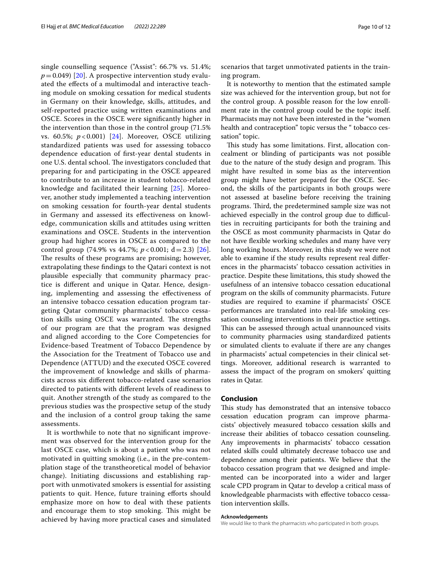single counselling sequence ("Assist": 66.7% vs. 51.4%;  $p=0.049$  [\[20\]](#page-10-16). A prospective intervention study evaluated the efects of a multimodal and interactive teaching module on smoking cessation for medical students in Germany on their knowledge, skills, attitudes, and self-reported practice using written examinations and OSCE. Scores in the OSCE were signifcantly higher in the intervention than those in the control group (71.5% vs. 60.5%; *p* < 0.001) [\[24](#page-10-17)]. Moreover, OSCE utilizing standardized patients was used for assessing tobacco dependence education of frst-year dental students in one U.S. dental school. The investigators concluded that preparing for and participating in the OSCE appeared to contribute to an increase in student tobacco-related knowledge and facilitated their learning [[25\]](#page-10-18). Moreover, another study implemented a teaching intervention on smoking cessation for fourth-year dental students in Germany and assessed its efectiveness on knowledge, communication skills and attitudes using written examinations and OSCE. Students in the intervention group had higher scores in OSCE as compared to the control group (74.9% vs 44.7%; *p* < 0.001; d=2.3) [[26\]](#page-11-0). The results of these programs are promising; however, extrapolating these fndings to the Qatari context is not plausible especially that community pharmacy practice is diferent and unique in Qatar. Hence, designing, implementing and assessing the efectiveness of an intensive tobacco cessation education program targeting Qatar community pharmacists' tobacco cessation skills using OSCE was warranted. The strengths of our program are that the program was designed and aligned according to the Core Competencies for Evidence-based Treatment of Tobacco Dependence by the Association for the Treatment of Tobacco use and Dependence (ATTUD) and the executed OSCE covered the improvement of knowledge and skills of pharmacists across six diferent tobacco-related case scenarios directed to patients with diferent levels of readiness to quit. Another strength of the study as compared to the previous studies was the prospective setup of the study and the inclusion of a control group taking the same assessments.

It is worthwhile to note that no signifcant improvement was observed for the intervention group for the last OSCE case, which is about a patient who was not motivated in quitting smoking (i.e., in the pre-contemplation stage of the transtheoretical model of behavior change). Initiating discussions and establishing rapport with unmotivated smokers is essential for assisting patients to quit. Hence, future training efforts should emphasize more on how to deal with these patients and encourage them to stop smoking. This might be achieved by having more practical cases and simulated scenarios that target unmotivated patients in the training program.

It is noteworthy to mention that the estimated sample size was achieved for the intervention group, but not for the control group. A possible reason for the low enrollment rate in the control group could be the topic itself. Pharmacists may not have been interested in the "women health and contraception" topic versus the " tobacco cessation" topic.

This study has some limitations. First, allocation concealment or blinding of participants was not possible due to the nature of the study design and program. This might have resulted in some bias as the intervention group might have better prepared for the OSCE. Second, the skills of the participants in both groups were not assessed at baseline before receiving the training programs. Third, the predetermined sample size was not achieved especially in the control group due to difficulties in recruiting participants for both the training and the OSCE as most community pharmacists in Qatar do not have fexible working schedules and many have very long working hours. Moreover, in this study we were not able to examine if the study results represent real diferences in the pharmacists' tobacco cessation activities in practice. Despite these limitations, this study showed the usefulness of an intensive tobacco cessation educational program on the skills of community pharmacists. Future studies are required to examine if pharmacists' OSCE performances are translated into real-life smoking cessation counseling interventions in their practice settings. This can be assessed through actual unannounced visits to community pharmacies using standardized patients or simulated clients to evaluate if there are any changes in pharmacists' actual competencies in their clinical settings. Moreover, additional research is warranted to assess the impact of the program on smokers' quitting rates in Qatar.

# **Conclusion**

This study has demonstrated that an intensive tobacco cessation education program can improve pharmacists' objectively measured tobacco cessation skills and increase their abilities of tobacco cessation counseling. Any improvements in pharmacists' tobacco cessation related skills could ultimately decrease tobacco use and dependence among their patients. We believe that the tobacco cessation program that we designed and implemented can be incorporated into a wider and larger scale CPD program in Qatar to develop a critical mass of knowledgeable pharmacists with efective tobacco cessation intervention skills.

#### **Acknowledgements**

We would like to thank the pharmacists who participated in both groups.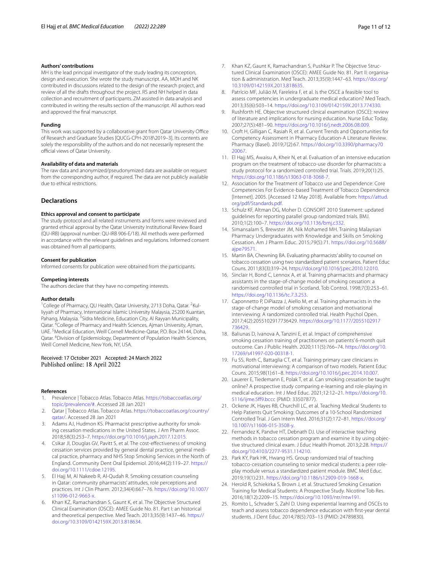#### **Authors' contributions**

MH is the lead principal investigator of the study leading its conception, design and execution. She wrote the study manuscript. AA, MOH and NK contributed in discussions related to the design of the research project, and review of all the drafts throughout the project. RS and NH helped in data collection and recruitment of participants. ZM assisted in data analysis and contributed in writing the results section of the manuscript. All authors read and approved the fnal manuscript.

#### **Funding**

This work was supported by a collaborative grant from Qatar University Office of Research and Graduate Studies [QUCG-CPH-2018\2019–3]. Its contents are solely the responsibility of the authors and do not necessarily represent the official views of Qatar University.

#### **Availability of data and materials**

The raw data and anonymized/pseudonymized data are available on request from the corresponding author, if required. The data are not publicly available due to ethical restrictions.

# **Declarations**

#### **Ethics approval and consent to participate**

The study protocol and all related instruments and forms were reviewed and granted ethical approval by the Qatar University Institutional Review Board (QU-IRB) (approval number: QU-IRB 906-E/18). All methods were performed in accordance with the relevant guidelines and regulations. Informed consent was obtained from all participants.

# **Consent for publication**

Informed consents for publication were obtained from the participants.

#### **Competing interests**

The authors declare that they have no competing interests.

#### **Author details**

<sup>1</sup> College of Pharmacy, QU Health, Qatar University, 2713 Doha, Qatar. <sup>2</sup> Kulliyyah of Pharmacy, International Islamic University Malaysia, 25200 Kuantan, Pahang, Malaysia. <sup>3</sup>Sidra Medicine, Education City, Al Rayyan Municipality, Qatar. <sup>4</sup>College of Pharmacy and Health Sciences, Ajman University, Ajman, UAE.<sup>5</sup> Medical Education, Weill Cornell Medicine-Qatar, P.O. Box 24144, Doha, Qatar. <sup>6</sup> Division of Epidemiology, Department of Population Health Sciences, Weill Cornell Medicine, New York, NY, USA.

# Received: 17 October 2021 Accepted: 24 March 2022 Published online: 18 April 2022

#### **References**

- <span id="page-10-0"></span>1. Prevalence | Tobacco Atlas. Tobacco Atlas. [https://tobaccoatlas.org/](https://tobaccoatlas.org/topic/prevalence/#) [topic/prevalence/#.](https://tobaccoatlas.org/topic/prevalence/#) Accessed 28 Jan 2021
- <span id="page-10-1"></span>2. Qatar | Tobacco Atlas. Tobacco Atlas. [https://tobaccoatlas.org/country/](https://tobaccoatlas.org/country/qatar/) [qatar/](https://tobaccoatlas.org/country/qatar/). Accessed 28 Jan 2021
- <span id="page-10-2"></span>3. Adams AJ, Hudmon KS. Pharmacist prescriptive authority for smoking cessation medications in the United States. J Am Pharm Assoc. 2018;58(3):253–7.<https://doi.org/10.1016/j.japh.2017.12.015>.
- <span id="page-10-3"></span>4. Csikar JI, Douglas GV, Pavitt S, et al. The cost-efectiveness of smoking cessation services provided by general dental practice, general medical practice, pharmacy and NHS Stop Smoking Services in the North of England. Community Dent Oral Epidemiol. 2016;44(2):119–27. [https://](https://doi.org/10.1111/cdoe.12195) [doi.org/10.1111/cdoe.12195.](https://doi.org/10.1111/cdoe.12195)
- <span id="page-10-4"></span>5. El Hajj M, Al Nakeeb R, Al-Qudah R. Smoking cessation counseling in Qatar: community pharmacists' attitudes, role perceptions and practices. Int J Clin Pharm. 2012;34(4):667–76. [https://doi.org/10.1007/](https://doi.org/10.1007/s11096-012-9663-x) [s11096-012-9663-x](https://doi.org/10.1007/s11096-012-9663-x).
- <span id="page-10-5"></span>6. Khan KZ, Ramachandran S, Gaunt K, et al. The Objective Structured Clinical Examination (OSCE): AMEE Guide No. 81. Part I: an historical and theoretical perspective. Med Teach. 2013;35(9):1437–46. [https://](https://doi.org/10.3109/0142159X.2013.818634) [doi.org/10.3109/0142159X.2013.818634](https://doi.org/10.3109/0142159X.2013.818634).
- 7. Khan KZ, Gaunt K, Ramachandran S, Pushkar P. The Objective Structured Clinical Examination (OSCE): AMEE Guide No. 81. Part II: organisation & administration. Med Teach. 2013;35(9):1447–63. [https://doi.org/](https://doi.org/10.3109/0142159X.2013.818635) [10.3109/0142159X.2013.818635](https://doi.org/10.3109/0142159X.2013.818635).
- 8. Patrício MF, Julião M, Fareleira F, et al. Is the OSCE a feasible tool to assess competencies in undergraduate medical education? Med Teach. 2013;35(6):503–14. <https://doi.org/10.3109/0142159X.2013.774330>.
- 9. Rushforth HE. Objective structured clinical examination (OSCE): review of literature and implications for nursing education. Nurse Educ Today. 2007;27(5):481–90. [https://doi.org/10.1016/j.nedt.2006.08.009.](https://doi.org/10.1016/j.nedt.2006.08.009)
- <span id="page-10-6"></span>10. Croft H, Gilligan C, Rasiah R, et al. Current Trends and Opportunities for Competency Assessment in Pharmacy Education-A Literature Review. Pharmacy (Basel). 2019;7(2):67. [https://doi.org/10.3390/pharmacy70](https://doi.org/10.3390/pharmacy7020067) [20067.](https://doi.org/10.3390/pharmacy7020067)
- <span id="page-10-7"></span>11. El Hajj MS, Awaisu A, Kheir N, et al. Evaluation of an intensive education program on the treatment of tobacco-use disorder for pharmacists: a study protocol for a randomized controlled trial. Trials. 2019;20(1):25. [https://doi.org/10.1186/s13063-018-3068-7.](https://doi.org/10.1186/s13063-018-3068-7)
- <span id="page-10-8"></span>12. Association for the Treatment of Tobacco use and Dependence: Core Competencies For Evidence-based Treatment of Tobacco Dependence [Internet]. 2005. [Accessed 12 May 2018]. Available from: [https://attud.](https://attud.org/pdf/Standards.pdf) [org/pdf/Standards.pdf](https://attud.org/pdf/Standards.pdf).
- <span id="page-10-9"></span>13. Schulz KF, Altman DG, Moher D. CONSORT 2010 Statement: updated guidelines for reporting parallel group randomized trials. BMJ. 2010;1(2):100–7.<https://doi.org/10.1136/bmj.c332>.
- <span id="page-10-10"></span>14. Simansalam S, Brewster JM, Nik Mohamed MH. Training Malaysian Pharmacy Undergraduates with Knowledge and Skills on Smoking Cessation. Am J Pharm Educ. 2015;79(5):71. [https://doi.org/10.5688/](https://doi.org/10.5688/ajpe79571) [ajpe79571](https://doi.org/10.5688/ajpe79571).
- <span id="page-10-11"></span>15. Martin BA, Chewning BA. Evaluating pharmacists' ability to counsel on tobacco cessation using two standardized patient scenarios. Patient Educ Couns. 2011;83(3):319–24. [https://doi.org/10.1016/j.pec.2010.12.010.](https://doi.org/10.1016/j.pec.2010.12.010)
- <span id="page-10-12"></span>16. Sinclair H, Bond C, Lennox A, et al. Training pharmacists and pharmacy assistants in the stage-of-change model of smoking cessation: a randomised controlled trial in Scotland. Tob Control. 1998;7(3):253–61. [https://doi.org/10.1136/tc.7.3.253.](https://doi.org/10.1136/tc.7.3.253)
- <span id="page-10-14"></span>17. Caponnetto P, DiPiazza J, Aiello M, et al. Training pharmacists in the stage-of-change model of smoking cessation and motivational interviewing: A randomized controlled trial. Health Psychol Open. 2017;4(2):2055102917736429. [https://doi.org/10.1177/2055102917](https://doi.org/10.1177/2055102917736429) [736429](https://doi.org/10.1177/2055102917736429).
- <span id="page-10-13"></span>18. Baliunas D, Ivanova A, Tanzini E, et al. Impact of comprehensive smoking cessation training of practitioners on patients' 6-month quit outcome. Can J Public Health. 2020;111(5):766–74. [https://doi.org/10.](https://doi.org/10.17269/s41997-020-00318-1) [17269/s41997-020-00318-1.](https://doi.org/10.17269/s41997-020-00318-1)
- <span id="page-10-15"></span>19. Fu SS, Roth C, Battaglia CT, et al. Training primary care clinicians in motivational interviewing: A comparison of two models. Patient Educ Couns. 2015;98(1):61–8. [https://doi.org/10.1016/j.pec.2014.10.007.](https://doi.org/10.1016/j.pec.2014.10.007)
- <span id="page-10-16"></span>20. Lauerer E, Tiedemann E, Polak T, et al. Can smoking cessation be taught online? A prospective study comparing e-learning and role-playing in medical education. Int J Med Educ. 2021;12:12–21. [https://doi.org/10.](https://doi.org/10.5116/ijme.5ff9.bccc) [5116/ijme.5f9.bccc](https://doi.org/10.5116/ijme.5ff9.bccc) (PMID: 33507877).
- 21. Ockene JK, Hayes RB, Churchill LC, et al. Teaching Medical Students to Help Patients Quit Smoking: Outcomes of a 10-School Randomized Controlled Trial. J Gen Intern Med. 2016;31(2):172–81. [https://doi.org/](https://doi.org/10.1007/s11606-015-3508-y) [10.1007/s11606-015-3508-y.](https://doi.org/10.1007/s11606-015-3508-y)
- 22. Fernandez K, Pandve HT, Debnath DJ. Use of interactive teaching methods in tobacco cessation program and examine it by using objective structured clinical exam. J Educ Health Promot. 2013;2:28. [https://](https://doi.org/10.4103/2277-9531.114210) [doi.org/10.4103/2277-9531.114210.](https://doi.org/10.4103/2277-9531.114210)
- 23. Park KY, Park HK, Hwang HS. Group randomized trial of teaching tobacco-cessation counseling to senior medical students: a peer roleplay module versus a standardized patient module. BMC Med Educ. 2019;19(1):231. <https://doi.org/10.1186/s12909-019-1668-x>.
- <span id="page-10-17"></span>24. Herold R, Schiekirka S, Brown J, et al. Structured Smoking Cessation Training for Medical Students: A Prospective Study. Nicotine Tob Res. 2016;18(12):2209–15. [https://doi.org/10.1093/ntr/ntw191.](https://doi.org/10.1093/ntr/ntw191)
- <span id="page-10-18"></span>25. Romito L, Schrader S, Zahl D. Using experiential learning and OSCEs to teach and assess tobacco dependence education with frst-year dental students. J Dent Educ. 2014;78(5):703–13 (PMID: 24789830).